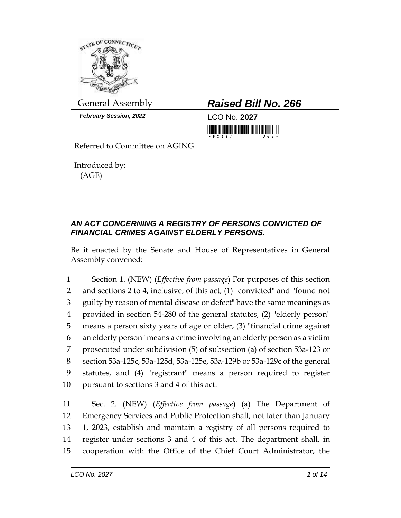

*February Session, 2022* LCO No. **2027**

General Assembly *Raised Bill No. 266*

Referred to Committee on AGING

Introduced by: (AGE)

## *AN ACT CONCERNING A REGISTRY OF PERSONS CONVICTED OF FINANCIAL CRIMES AGAINST ELDERLY PERSONS.*

Be it enacted by the Senate and House of Representatives in General Assembly convened:

 Section 1. (NEW) (*Effective from passage*) For purposes of this section and sections 2 to 4, inclusive, of this act, (1) "convicted" and "found not guilty by reason of mental disease or defect" have the same meanings as provided in section 54-280 of the general statutes, (2) "elderly person" means a person sixty years of age or older, (3) "financial crime against an elderly person" means a crime involving an elderly person as a victim prosecuted under subdivision (5) of subsection (a) of section 53a-123 or section 53a-125c, 53a-125d, 53a-125e, 53a-129b or 53a-129c of the general statutes, and (4) "registrant" means a person required to register pursuant to sections 3 and 4 of this act.

 Sec. 2. (NEW) (*Effective from passage*) (a) The Department of Emergency Services and Public Protection shall, not later than January 1, 2023, establish and maintain a registry of all persons required to register under sections 3 and 4 of this act. The department shall, in cooperation with the Office of the Chief Court Administrator, the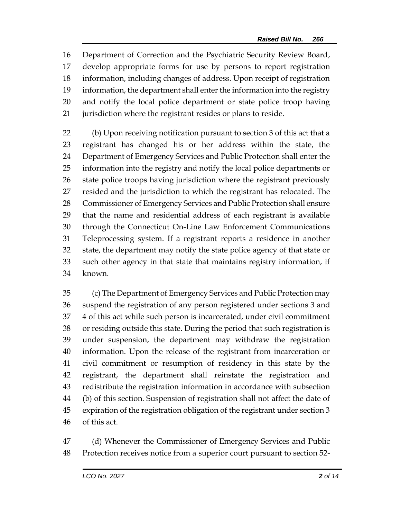Department of Correction and the Psychiatric Security Review Board, develop appropriate forms for use by persons to report registration information, including changes of address. Upon receipt of registration information, the department shall enter the information into the registry and notify the local police department or state police troop having jurisdiction where the registrant resides or plans to reside.

 (b) Upon receiving notification pursuant to section 3 of this act that a registrant has changed his or her address within the state, the Department of Emergency Services and Public Protection shall enter the information into the registry and notify the local police departments or state police troops having jurisdiction where the registrant previously resided and the jurisdiction to which the registrant has relocated. The Commissioner of Emergency Services and Public Protection shall ensure that the name and residential address of each registrant is available through the Connecticut On-Line Law Enforcement Communications Teleprocessing system. If a registrant reports a residence in another state, the department may notify the state police agency of that state or such other agency in that state that maintains registry information, if known.

 (c) The Department of Emergency Services and Public Protection may suspend the registration of any person registered under sections 3 and 4 of this act while such person is incarcerated, under civil commitment or residing outside this state. During the period that such registration is under suspension, the department may withdraw the registration information. Upon the release of the registrant from incarceration or civil commitment or resumption of residency in this state by the registrant, the department shall reinstate the registration and redistribute the registration information in accordance with subsection (b) of this section. Suspension of registration shall not affect the date of expiration of the registration obligation of the registrant under section 3 of this act.

 (d) Whenever the Commissioner of Emergency Services and Public Protection receives notice from a superior court pursuant to section 52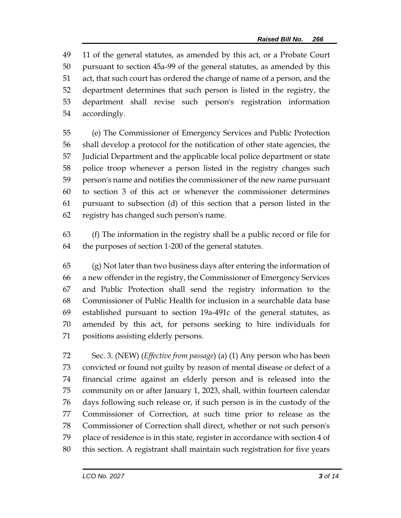11 of the general statutes, as amended by this act, or a Probate Court pursuant to section 45a-99 of the general statutes, as amended by this act, that such court has ordered the change of name of a person, and the department determines that such person is listed in the registry, the department shall revise such person's registration information accordingly.

 (e) The Commissioner of Emergency Services and Public Protection shall develop a protocol for the notification of other state agencies, the Judicial Department and the applicable local police department or state police troop whenever a person listed in the registry changes such person's name and notifies the commissioner of the new name pursuant to section 3 of this act or whenever the commissioner determines pursuant to subsection (d) of this section that a person listed in the registry has changed such person's name.

 (f) The information in the registry shall be a public record or file for the purposes of section 1-200 of the general statutes.

 (g) Not later than two business days after entering the information of a new offender in the registry, the Commissioner of Emergency Services and Public Protection shall send the registry information to the Commissioner of Public Health for inclusion in a searchable data base established pursuant to section 19a-491c of the general statutes, as amended by this act, for persons seeking to hire individuals for positions assisting elderly persons.

 Sec. 3. (NEW) (*Effective from passage*) (a) (1) Any person who has been convicted or found not guilty by reason of mental disease or defect of a financial crime against an elderly person and is released into the community on or after January 1, 2023, shall, within fourteen calendar days following such release or, if such person is in the custody of the Commissioner of Correction, at such time prior to release as the Commissioner of Correction shall direct, whether or not such person's place of residence is in this state, register in accordance with section 4 of this section. A registrant shall maintain such registration for five years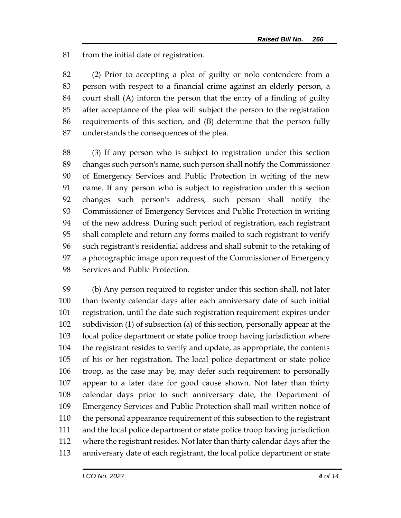from the initial date of registration.

 (2) Prior to accepting a plea of guilty or nolo contendere from a person with respect to a financial crime against an elderly person, a court shall (A) inform the person that the entry of a finding of guilty after acceptance of the plea will subject the person to the registration requirements of this section, and (B) determine that the person fully understands the consequences of the plea.

 (3) If any person who is subject to registration under this section changes such person's name, such person shall notify the Commissioner of Emergency Services and Public Protection in writing of the new name. If any person who is subject to registration under this section changes such person's address, such person shall notify the Commissioner of Emergency Services and Public Protection in writing of the new address. During such period of registration, each registrant shall complete and return any forms mailed to such registrant to verify such registrant's residential address and shall submit to the retaking of a photographic image upon request of the Commissioner of Emergency Services and Public Protection.

 (b) Any person required to register under this section shall, not later than twenty calendar days after each anniversary date of such initial registration, until the date such registration requirement expires under subdivision (1) of subsection (a) of this section, personally appear at the local police department or state police troop having jurisdiction where the registrant resides to verify and update, as appropriate, the contents of his or her registration. The local police department or state police troop, as the case may be, may defer such requirement to personally appear to a later date for good cause shown. Not later than thirty calendar days prior to such anniversary date, the Department of Emergency Services and Public Protection shall mail written notice of the personal appearance requirement of this subsection to the registrant and the local police department or state police troop having jurisdiction where the registrant resides. Not later than thirty calendar days after the anniversary date of each registrant, the local police department or state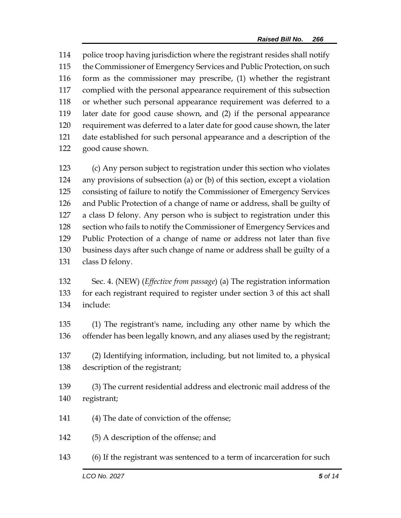police troop having jurisdiction where the registrant resides shall notify the Commissioner of Emergency Services and Public Protection, on such form as the commissioner may prescribe, (1) whether the registrant complied with the personal appearance requirement of this subsection or whether such personal appearance requirement was deferred to a later date for good cause shown, and (2) if the personal appearance requirement was deferred to a later date for good cause shown, the later date established for such personal appearance and a description of the good cause shown.

 (c) Any person subject to registration under this section who violates any provisions of subsection (a) or (b) of this section, except a violation consisting of failure to notify the Commissioner of Emergency Services and Public Protection of a change of name or address, shall be guilty of a class D felony. Any person who is subject to registration under this section who fails to notify the Commissioner of Emergency Services and Public Protection of a change of name or address not later than five business days after such change of name or address shall be guilty of a class D felony.

 Sec. 4. (NEW) (*Effective from passage*) (a) The registration information for each registrant required to register under section 3 of this act shall include:

 (1) The registrant's name, including any other name by which the offender has been legally known, and any aliases used by the registrant;

 (2) Identifying information, including, but not limited to, a physical description of the registrant;

 (3) The current residential address and electronic mail address of the registrant;

- (4) The date of conviction of the offense;
- (5) A description of the offense; and
- (6) If the registrant was sentenced to a term of incarceration for such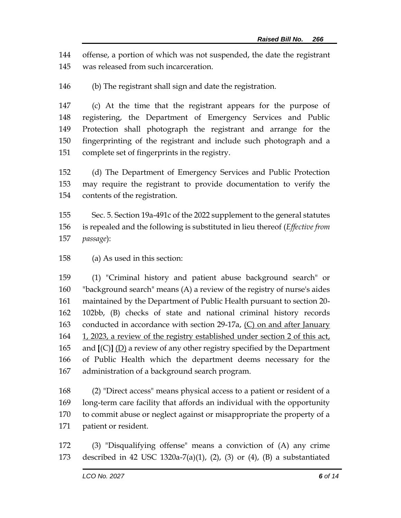offense, a portion of which was not suspended, the date the registrant was released from such incarceration.

(b) The registrant shall sign and date the registration.

 (c) At the time that the registrant appears for the purpose of registering, the Department of Emergency Services and Public Protection shall photograph the registrant and arrange for the fingerprinting of the registrant and include such photograph and a complete set of fingerprints in the registry.

 (d) The Department of Emergency Services and Public Protection may require the registrant to provide documentation to verify the contents of the registration.

 Sec. 5. Section 19a-491c of the 2022 supplement to the general statutes is repealed and the following is substituted in lieu thereof (*Effective from passage*):

(a) As used in this section:

 (1) "Criminal history and patient abuse background search" or "background search" means (A) a review of the registry of nurse's aides maintained by the Department of Public Health pursuant to section 20- 102bb, (B) checks of state and national criminal history records conducted in accordance with section 29-17a, (C) on and after January 1, 2023, a review of the registry established under section 2 of this act, and **[**(C)**]** (D) a review of any other registry specified by the Department of Public Health which the department deems necessary for the administration of a background search program.

 (2) "Direct access" means physical access to a patient or resident of a long-term care facility that affords an individual with the opportunity to commit abuse or neglect against or misappropriate the property of a patient or resident.

 (3) "Disqualifying offense" means a conviction of (A) any crime described in 42 USC 1320a-7(a)(1), (2), (3) or (4), (B) a substantiated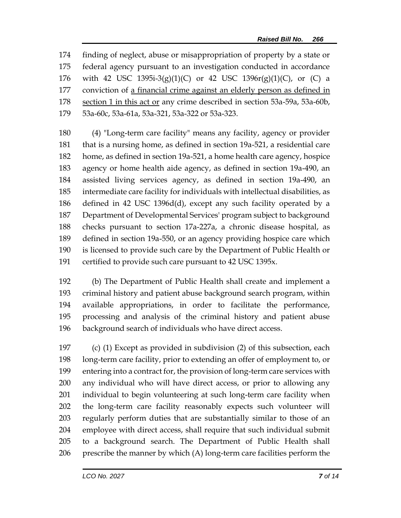finding of neglect, abuse or misappropriation of property by a state or federal agency pursuant to an investigation conducted in accordance with 42 USC 1395i-3(g)(1)(C) or 42 USC 1396r(g)(1)(C), or (C) a conviction of a financial crime against an elderly person as defined in section 1 in this act or any crime described in section 53a-59a, 53a-60b, 53a-60c, 53a-61a, 53a-321, 53a-322 or 53a-323.

 (4) "Long-term care facility" means any facility, agency or provider that is a nursing home, as defined in section 19a-521, a residential care home, as defined in section 19a-521, a home health care agency, hospice agency or home health aide agency, as defined in section 19a-490, an assisted living services agency, as defined in section 19a-490, an intermediate care facility for individuals with intellectual disabilities, as defined in 42 USC 1396d(d), except any such facility operated by a Department of Developmental Services' program subject to background checks pursuant to section 17a-227a, a chronic disease hospital, as defined in section 19a-550, or an agency providing hospice care which is licensed to provide such care by the Department of Public Health or certified to provide such care pursuant to 42 USC 1395x.

 (b) The Department of Public Health shall create and implement a criminal history and patient abuse background search program, within available appropriations, in order to facilitate the performance, processing and analysis of the criminal history and patient abuse background search of individuals who have direct access.

 (c) (1) Except as provided in subdivision (2) of this subsection, each long-term care facility, prior to extending an offer of employment to, or entering into a contract for, the provision of long-term care services with any individual who will have direct access, or prior to allowing any individual to begin volunteering at such long-term care facility when the long-term care facility reasonably expects such volunteer will regularly perform duties that are substantially similar to those of an employee with direct access, shall require that such individual submit to a background search. The Department of Public Health shall prescribe the manner by which (A) long-term care facilities perform the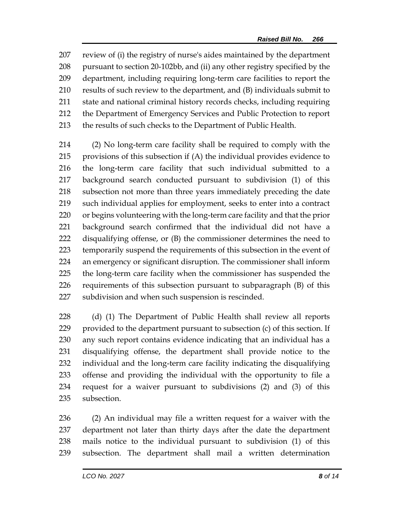review of (i) the registry of nurse's aides maintained by the department pursuant to section 20-102bb, and (ii) any other registry specified by the department, including requiring long-term care facilities to report the results of such review to the department, and (B) individuals submit to state and national criminal history records checks, including requiring the Department of Emergency Services and Public Protection to report the results of such checks to the Department of Public Health.

 (2) No long-term care facility shall be required to comply with the provisions of this subsection if (A) the individual provides evidence to the long-term care facility that such individual submitted to a background search conducted pursuant to subdivision (1) of this subsection not more than three years immediately preceding the date such individual applies for employment, seeks to enter into a contract or begins volunteering with the long-term care facility and that the prior background search confirmed that the individual did not have a disqualifying offense, or (B) the commissioner determines the need to temporarily suspend the requirements of this subsection in the event of an emergency or significant disruption. The commissioner shall inform the long-term care facility when the commissioner has suspended the requirements of this subsection pursuant to subparagraph (B) of this subdivision and when such suspension is rescinded.

228 (d) (1) The Department of Public Health shall review all reports provided to the department pursuant to subsection (c) of this section. If any such report contains evidence indicating that an individual has a disqualifying offense, the department shall provide notice to the individual and the long-term care facility indicating the disqualifying offense and providing the individual with the opportunity to file a request for a waiver pursuant to subdivisions (2) and (3) of this subsection.

 (2) An individual may file a written request for a waiver with the department not later than thirty days after the date the department mails notice to the individual pursuant to subdivision (1) of this subsection. The department shall mail a written determination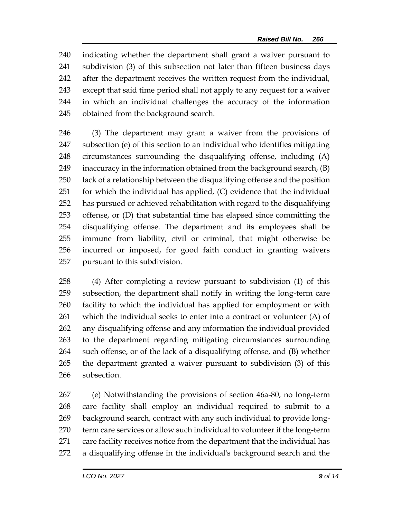indicating whether the department shall grant a waiver pursuant to subdivision (3) of this subsection not later than fifteen business days after the department receives the written request from the individual, except that said time period shall not apply to any request for a waiver in which an individual challenges the accuracy of the information obtained from the background search.

 (3) The department may grant a waiver from the provisions of subsection (e) of this section to an individual who identifies mitigating circumstances surrounding the disqualifying offense, including (A) inaccuracy in the information obtained from the background search, (B) lack of a relationship between the disqualifying offense and the position for which the individual has applied, (C) evidence that the individual has pursued or achieved rehabilitation with regard to the disqualifying offense, or (D) that substantial time has elapsed since committing the disqualifying offense. The department and its employees shall be immune from liability, civil or criminal, that might otherwise be incurred or imposed, for good faith conduct in granting waivers pursuant to this subdivision.

 (4) After completing a review pursuant to subdivision (1) of this subsection, the department shall notify in writing the long-term care facility to which the individual has applied for employment or with which the individual seeks to enter into a contract or volunteer (A) of any disqualifying offense and any information the individual provided to the department regarding mitigating circumstances surrounding such offense, or of the lack of a disqualifying offense, and (B) whether the department granted a waiver pursuant to subdivision (3) of this subsection.

 (e) Notwithstanding the provisions of section 46a-80, no long-term care facility shall employ an individual required to submit to a background search, contract with any such individual to provide long- term care services or allow such individual to volunteer if the long-term care facility receives notice from the department that the individual has a disqualifying offense in the individual's background search and the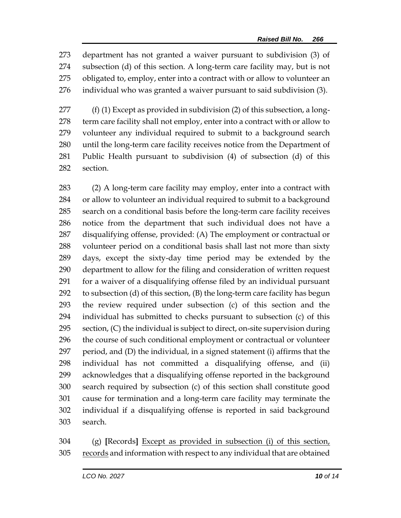department has not granted a waiver pursuant to subdivision (3) of subsection (d) of this section. A long-term care facility may, but is not obligated to, employ, enter into a contract with or allow to volunteer an individual who was granted a waiver pursuant to said subdivision (3).

 (f) (1) Except as provided in subdivision (2) of this subsection, a long-278 term care facility shall not employ, enter into a contract with or allow to volunteer any individual required to submit to a background search until the long-term care facility receives notice from the Department of Public Health pursuant to subdivision (4) of subsection (d) of this section.

 (2) A long-term care facility may employ, enter into a contract with or allow to volunteer an individual required to submit to a background search on a conditional basis before the long-term care facility receives notice from the department that such individual does not have a disqualifying offense, provided: (A) The employment or contractual or volunteer period on a conditional basis shall last not more than sixty days, except the sixty-day time period may be extended by the department to allow for the filing and consideration of written request for a waiver of a disqualifying offense filed by an individual pursuant to subsection (d) of this section, (B) the long-term care facility has begun the review required under subsection (c) of this section and the individual has submitted to checks pursuant to subsection (c) of this section, (C) the individual is subject to direct, on-site supervision during the course of such conditional employment or contractual or volunteer period, and (D) the individual, in a signed statement (i) affirms that the individual has not committed a disqualifying offense, and (ii) acknowledges that a disqualifying offense reported in the background search required by subsection (c) of this section shall constitute good cause for termination and a long-term care facility may terminate the individual if a disqualifying offense is reported in said background search.

 (g) **[**Records**]** Except as provided in subsection (i) of this section, records and information with respect to any individual that are obtained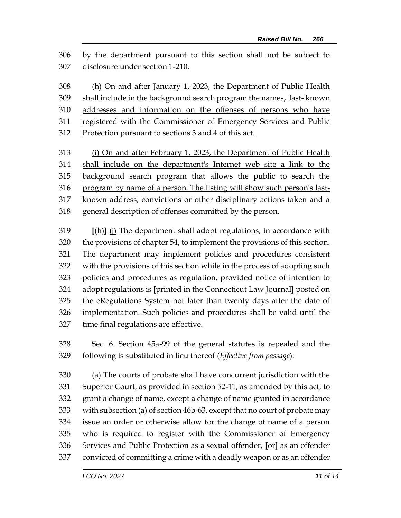by the department pursuant to this section shall not be subject to disclosure under section 1-210.

 (h) On and after January 1, 2023, the Department of Public Health shall include in the background search program the names, last- known addresses and information on the offenses of persons who have registered with the Commissioner of Emergency Services and Public Protection pursuant to sections 3 and 4 of this act.

 (i) On and after February 1, 2023, the Department of Public Health shall include on the department's Internet web site a link to the background search program that allows the public to search the program by name of a person. The listing will show such person's last- known address, convictions or other disciplinary actions taken and a general description of offenses committed by the person.

 **[**(h)**]** (j) The department shall adopt regulations, in accordance with the provisions of chapter 54, to implement the provisions of this section. The department may implement policies and procedures consistent with the provisions of this section while in the process of adopting such policies and procedures as regulation, provided notice of intention to adopt regulations is **[**printed in the Connecticut Law Journal**]** posted on 325 the eRegulations System not later than twenty days after the date of implementation. Such policies and procedures shall be valid until the time final regulations are effective.

 Sec. 6. Section 45a-99 of the general statutes is repealed and the following is substituted in lieu thereof (*Effective from passage*):

 (a) The courts of probate shall have concurrent jurisdiction with the 331 Superior Court, as provided in section 52-11, as amended by this act, to grant a change of name, except a change of name granted in accordance with subsection (a) of section 46b-63, except that no court of probate may issue an order or otherwise allow for the change of name of a person who is required to register with the Commissioner of Emergency Services and Public Protection as a sexual offender, **[**or**]** as an offender convicted of committing a crime with a deadly weapon or as an offender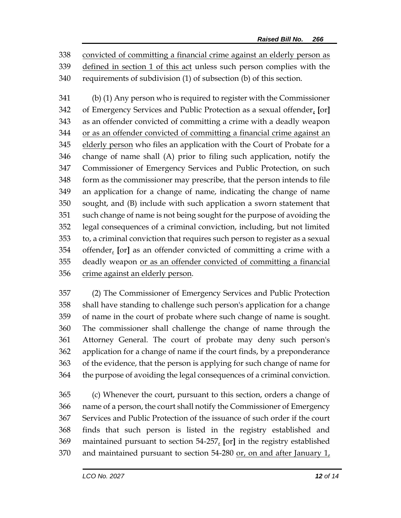convicted of committing a financial crime against an elderly person as defined in section 1 of this act unless such person complies with the requirements of subdivision (1) of subsection (b) of this section.

 (b) (1) Any person who is required to register with the Commissioner of Emergency Services and Public Protection as a sexual offender, **[**or**]** as an offender convicted of committing a crime with a deadly weapon or as an offender convicted of committing a financial crime against an 345 elderly person who files an application with the Court of Probate for a change of name shall (A) prior to filing such application, notify the Commissioner of Emergency Services and Public Protection, on such form as the commissioner may prescribe, that the person intends to file an application for a change of name, indicating the change of name sought, and (B) include with such application a sworn statement that such change of name is not being sought for the purpose of avoiding the legal consequences of a criminal conviction, including, but not limited to, a criminal conviction that requires such person to register as a sexual offender, **[**or**]** as an offender convicted of committing a crime with a deadly weapon or as an offender convicted of committing a financial crime against an elderly person.

 (2) The Commissioner of Emergency Services and Public Protection shall have standing to challenge such person's application for a change of name in the court of probate where such change of name is sought. The commissioner shall challenge the change of name through the Attorney General. The court of probate may deny such person's application for a change of name if the court finds, by a preponderance of the evidence, that the person is applying for such change of name for the purpose of avoiding the legal consequences of a criminal conviction.

 (c) Whenever the court, pursuant to this section, orders a change of name of a person, the court shall notify the Commissioner of Emergency Services and Public Protection of the issuance of such order if the court finds that such person is listed in the registry established and maintained pursuant to section 54-257, **[**or**]** in the registry established 370 and maintained pursuant to section 54-280 or, on and after January 1,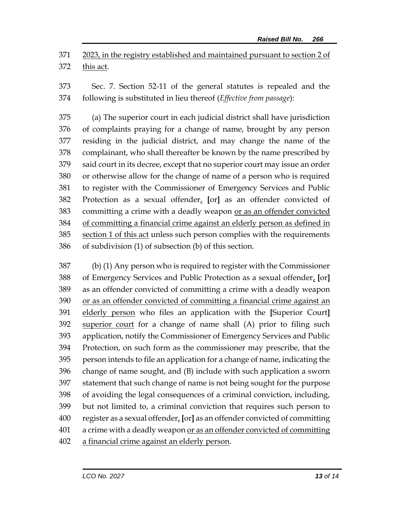2023, in the registry established and maintained pursuant to section 2 of this act.

 Sec. 7. Section 52-11 of the general statutes is repealed and the following is substituted in lieu thereof (*Effective from passage*):

 (a) The superior court in each judicial district shall have jurisdiction of complaints praying for a change of name, brought by any person residing in the judicial district, and may change the name of the complainant, who shall thereafter be known by the name prescribed by said court in its decree, except that no superior court may issue an order or otherwise allow for the change of name of a person who is required to register with the Commissioner of Emergency Services and Public Protection as a sexual offender, **[**or**]** as an offender convicted of committing a crime with a deadly weapon or as an offender convicted of committing a financial crime against an elderly person as defined in 385 section 1 of this act unless such person complies with the requirements of subdivision (1) of subsection (b) of this section.

 (b) (1) Any person who is required to register with the Commissioner of Emergency Services and Public Protection as a sexual offender, **[**or**]** as an offender convicted of committing a crime with a deadly weapon or as an offender convicted of committing a financial crime against an elderly person who files an application with the **[**Superior Court**]** 392 superior court for a change of name shall (A) prior to filing such application, notify the Commissioner of Emergency Services and Public Protection, on such form as the commissioner may prescribe, that the person intends to file an application for a change of name, indicating the change of name sought, and (B) include with such application a sworn statement that such change of name is not being sought for the purpose of avoiding the legal consequences of a criminal conviction, including, but not limited to, a criminal conviction that requires such person to register as a sexual offender, **[**or**]** as an offender convicted of committing a crime with a deadly weapon or as an offender convicted of committing a financial crime against an elderly person.